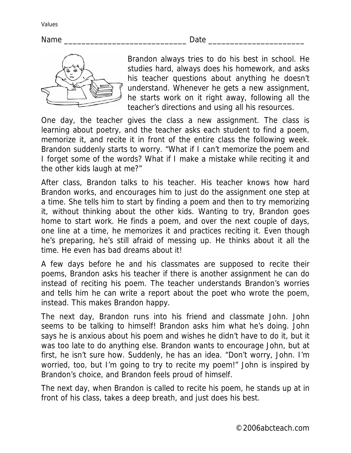## Name \_\_\_\_\_\_\_\_\_\_\_\_\_\_\_\_\_\_\_\_\_\_\_\_\_\_\_\_ Date \_\_\_\_\_\_\_\_\_\_\_\_\_\_\_\_\_\_\_\_\_\_



Brandon always tries to do his best in school. He studies hard, always does his homework, and asks his teacher questions about anything he doesn't understand. Whenever he gets a new assignment, he starts work on it right away, following all the teacher's directions and using all his resources.

One day, the teacher gives the class a new assignment. The class is learning about poetry, and the teacher asks each student to find a poem, memorize it, and recite it in front of the entire class the following week. Brandon suddenly starts to worry. "What if I can't memorize the poem and I forget some of the words? What if I make a mistake while reciting it and the other kids laugh at me?"

After class, Brandon talks to his teacher. His teacher knows how hard Brandon works, and encourages him to just do the assignment one step at a time. She tells him to start by finding a poem and then to try memorizing it, without thinking about the other kids. Wanting to try, Brandon goes home to start work. He finds a poem, and over the next couple of days, one line at a time, he memorizes it and practices reciting it. Even though he's preparing, he's still afraid of messing up. He thinks about it all the time. He even has bad dreams about it!

A few days before he and his classmates are supposed to recite their poems, Brandon asks his teacher if there is another assignment he can do instead of reciting his poem. The teacher understands Brandon's worries and tells him he can write a report about the poet who wrote the poem, instead. This makes Brandon happy.

The next day, Brandon runs into his friend and classmate John. John seems to be talking to himself! Brandon asks him what he's doing. John says he is anxious about his poem and wishes he didn't have to do it, but it was too late to do anything else. Brandon wants to encourage John, but at first, he isn't sure how. Suddenly, he has an idea. "Don't worry, John. I'm worried, too, but I'm going to try to recite my poem!" John is inspired by Brandon's choice, and Brandon feels proud of himself.

The next day, when Brandon is called to recite his poem, he stands up at in front of his class, takes a deep breath, and just does his best.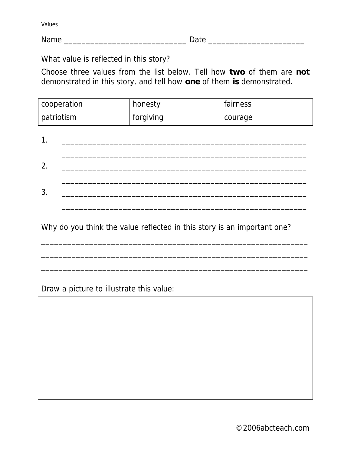Name **Name Date Date Date Date Date Date Date Date Date Date Date Date Date Date Date Date Date Date Date Date Date Date Date Date Date Date Date Date Date Date**

What value is reflected in this story?

Choose three values from the list below. Tell how **two** of them are **not** demonstrated in this story, and tell how **one** of them **is** demonstrated.

| cooperation | honesty   | fairness |
|-------------|-----------|----------|
| patriotism  | forgiving | courage  |

| 2.           |  |  |  |
|--------------|--|--|--|
| $\mathbf{P}$ |  |  |  |
|              |  |  |  |

Why do you think the value reflected in this story is an important one?

\_\_\_\_\_\_\_\_\_\_\_\_\_\_\_\_\_\_\_\_\_\_\_\_\_\_\_\_\_\_\_\_\_\_\_\_\_\_\_\_\_\_\_\_\_\_\_\_\_\_\_\_\_\_\_\_\_\_\_\_\_

\_\_\_\_\_\_\_\_\_\_\_\_\_\_\_\_\_\_\_\_\_\_\_\_\_\_\_\_\_\_\_\_\_\_\_\_\_\_\_\_\_\_\_\_\_\_\_\_\_\_\_\_\_\_\_\_\_\_\_\_\_

 $\mathcal{L}_\mathcal{L} = \{ \mathcal{L}_\mathcal{L} = \{ \mathcal{L}_\mathcal{L} = \{ \mathcal{L}_\mathcal{L} = \{ \mathcal{L}_\mathcal{L} = \{ \mathcal{L}_\mathcal{L} = \{ \mathcal{L}_\mathcal{L} = \{ \mathcal{L}_\mathcal{L} = \{ \mathcal{L}_\mathcal{L} = \{ \mathcal{L}_\mathcal{L} = \{ \mathcal{L}_\mathcal{L} = \{ \mathcal{L}_\mathcal{L} = \{ \mathcal{L}_\mathcal{L} = \{ \mathcal{L}_\mathcal{L} = \{ \mathcal{L}_\mathcal{$ 

Draw a picture to illustrate this value: